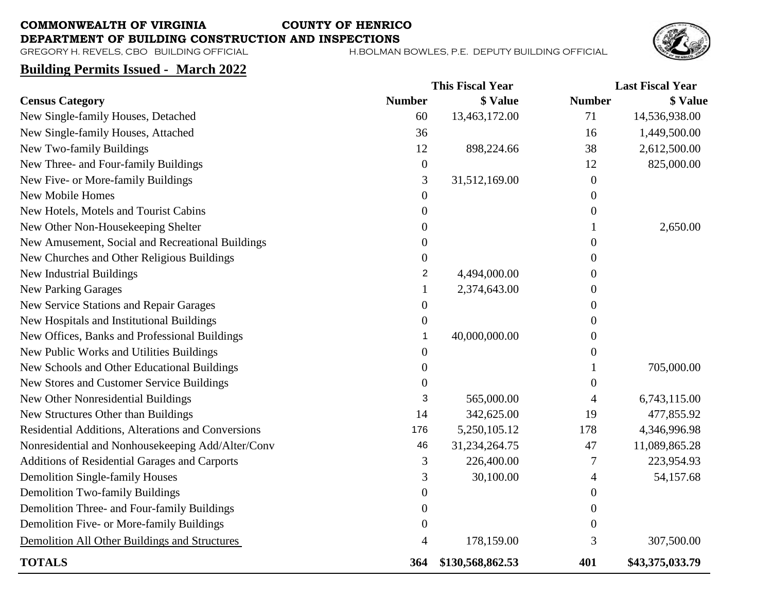## **COMMONWEALTH OF VIRGINIA COUNTY OF HENRICO**

**DEPARTMENT OF BUILDING CONSTRUCTION AND INSPECTIONS**<br>GREGORY H. REVELS, CBO BUILDING OFFICIAL **H.BOLMAN** 

H. BOLMAN BOWLES, P.E. DEPUTY BUILDING OFFICIAL



## **Building Permits Issued - March 2022**

|                                                    |                  | <b>This Fiscal Year</b> |                  | <b>Last Fiscal Year</b> |  |
|----------------------------------------------------|------------------|-------------------------|------------------|-------------------------|--|
| <b>Census Category</b>                             | <b>Number</b>    | \$ Value                | <b>Number</b>    | <b>\$ Value</b>         |  |
| New Single-family Houses, Detached                 | 60               | 13,463,172.00           | 71               | 14,536,938.00           |  |
| New Single-family Houses, Attached                 | 36               |                         | 16               | 1,449,500.00            |  |
| New Two-family Buildings                           | 12               | 898,224.66              | 38               | 2,612,500.00            |  |
| New Three- and Four-family Buildings               | $\boldsymbol{0}$ |                         | 12               | 825,000.00              |  |
| New Five- or More-family Buildings                 | 3                | 31,512,169.00           | $\boldsymbol{0}$ |                         |  |
| <b>New Mobile Homes</b>                            | $\boldsymbol{0}$ |                         | $\boldsymbol{0}$ |                         |  |
| New Hotels, Motels and Tourist Cabins              | $\boldsymbol{0}$ |                         | $\boldsymbol{0}$ |                         |  |
| New Other Non-Housekeeping Shelter                 | 0                |                         |                  | 2,650.00                |  |
| New Amusement, Social and Recreational Buildings   | 0                |                         | $\boldsymbol{0}$ |                         |  |
| New Churches and Other Religious Buildings         | 0                |                         | $\boldsymbol{0}$ |                         |  |
| <b>New Industrial Buildings</b>                    | $\overline{2}$   | 4,494,000.00            | $\Omega$         |                         |  |
| <b>New Parking Garages</b>                         | 1                | 2,374,643.00            | $\boldsymbol{0}$ |                         |  |
| New Service Stations and Repair Garages            | 0                |                         | $\boldsymbol{0}$ |                         |  |
| New Hospitals and Institutional Buildings          | $\boldsymbol{0}$ |                         | $\boldsymbol{0}$ |                         |  |
| New Offices, Banks and Professional Buildings      | 1                | 40,000,000.00           | $\boldsymbol{0}$ |                         |  |
| New Public Works and Utilities Buildings           | 0                |                         | $\boldsymbol{0}$ |                         |  |
| New Schools and Other Educational Buildings        | $\boldsymbol{0}$ |                         |                  | 705,000.00              |  |
| New Stores and Customer Service Buildings          | $\boldsymbol{0}$ |                         | $\boldsymbol{0}$ |                         |  |
| New Other Nonresidential Buildings                 | 3                | 565,000.00              | 4                | 6,743,115.00            |  |
| New Structures Other than Buildings                | 14               | 342,625.00              | 19               | 477,855.92              |  |
| Residential Additions, Alterations and Conversions | 176              | 5,250,105.12            | 178              | 4,346,996.98            |  |
| Nonresidential and Nonhousekeeping Add/Alter/Conv  | 46               | 31,234,264.75           | 47               | 11,089,865.28           |  |
| Additions of Residential Garages and Carports      | 3                | 226,400.00              | 7                | 223,954.93              |  |
| <b>Demolition Single-family Houses</b>             | 3                | 30,100.00               | 4                | 54,157.68               |  |
| <b>Demolition Two-family Buildings</b>             | $\boldsymbol{0}$ |                         | $\overline{0}$   |                         |  |
| Demolition Three- and Four-family Buildings        | $\boldsymbol{0}$ |                         | $\boldsymbol{0}$ |                         |  |
| Demolition Five- or More-family Buildings          | $\boldsymbol{0}$ |                         | $\boldsymbol{0}$ |                         |  |
| Demolition All Other Buildings and Structures      | 4                | 178,159.00              | 3                | 307,500.00              |  |
| <b>TOTALS</b>                                      | 364              | \$130,568,862.53        | 401              | \$43,375,033.79         |  |